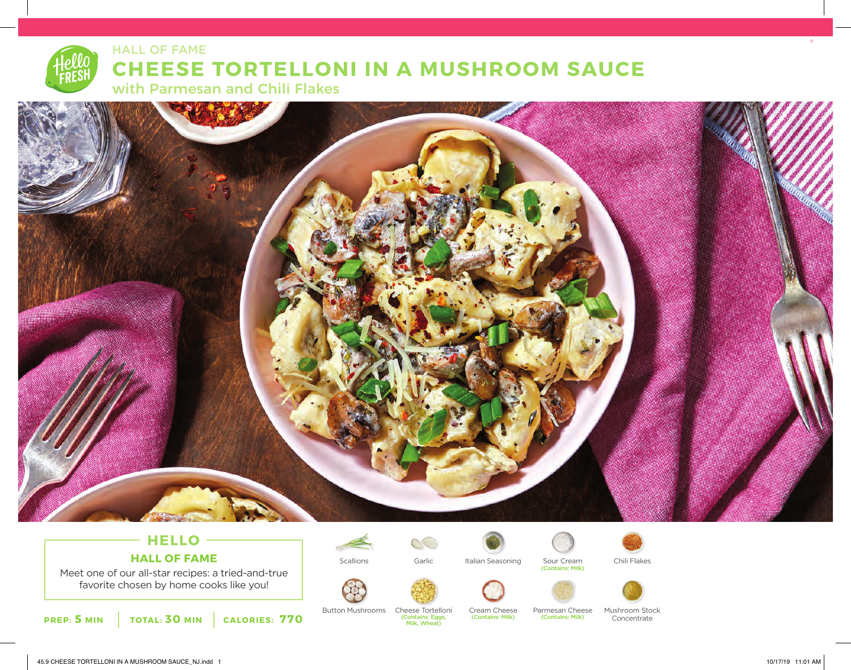# HALL OF FAME **CHEESE TORTELLONI IN A MUSHROOM SAUCE**  with Parmesan and Chili Flakes



# **HELLO HALL OF FAME**

Meet one of our all-star recipes: a tried-and-true favorite chosen by home cooks like you!

**PREP: 5 MIN TOTAL: 30 MIN CALORIES: 770**

 $\infty$ 

(Contains: Eggs, Milk, Wheat)



Cream Cheese (Contains: Milk)

Scallions Garlic Italian Seasoning Sour Cream Chili Flakes





Sour Cream<br>(Contains: Milk)

(Contains: Milk)





Button Mushrooms Cheese Tortelloni Cream Cheese Parmesan Cheese Mushroom Stock Concentrate

45.9 CHEESE TORTELLONI IN A MUSHROOM SAUCE\_NJ.indd 1 10/17/19 11:01 AM

9